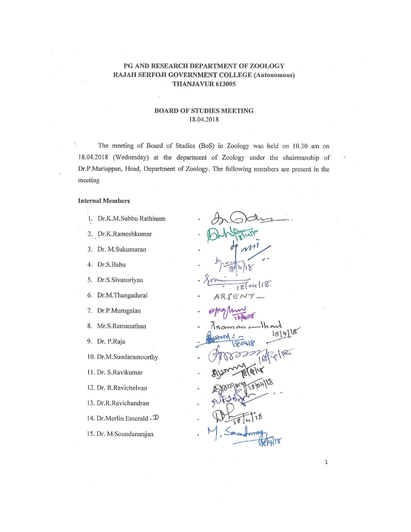#### PG AND RESEARCH DEPARTMENT OF ZOOLOGY RAJAH SERFOJI GOVERNMENT COLLEGE (Autonomous) THANJAVUR 613005

#### **BOARD OF STUDIES MEETING** 18.04.2018

The meeting of Board of Studies (BoS) in Zoology was held on 10.30 am on 18.04.2018 (Wednesday) at the department of Zoology under the chairmanship of Dr.P.Mariappan, Head, Department of Zoology. The following members are present in the meeting

#### **Internal Members**

- 1. Dr.K.M.Subbu Rathinam
- 2. Dr.K.Rameshkumar
- 3. Dr. M.Sukumaran
- 4. Dr.S.Babu
- 5. Dr.S.Sivasuriyan
- 6. Dr.M.Thangadurai
- 7. Dr.P.Murugaian
- 8. Mr.S.Ramanathan
- 9. Dr. P.Raja

10. Dr.M.Sundaramoorthy

- 11. Dr. S.Ravikumar
- 12. Dr. R.Ravichelvan
- 13. Dr.R.Ravichandran
- 14. Dr. Merlin Emerald . D
- 15. Dr. M.Soundararajan

118  $\mathcal{D}$ ABSEN

80418

 $\mathbf 1$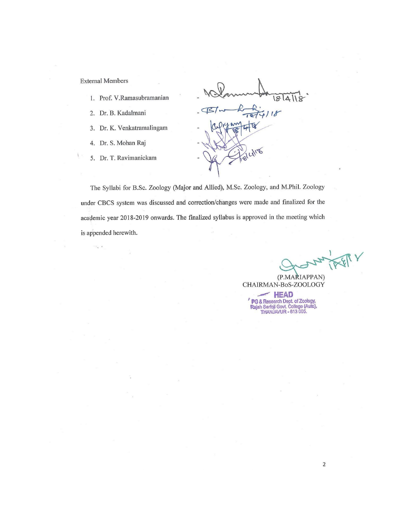**External Members** 

 $\sim_{\alpha}$  .

- 1. Prof. V.Ramasubramanian
- 2. Dr. B. Kadalmani
- 3. Dr. K. Venkatramalingam
- 4. Dr. S. Mohan Raj
- 5. Dr. T. Ravimanickam

BI  $718$ 

The Syllabi for B.Sc. Zoology (Major and Allied), M.Sc. Zoology, and M.Phil. Zoology under CBCS system was discussed and correction/changes were made and finalized for the academic year 2018-2019 onwards. The finalized syllabus is approved in the meeting which is appended herewith.

(P.MARIAPPAN) CHAIRMAN-BoS-ZOOLOGY

 $\sim$  HEAD PG & Research Dept. of Zoology,<br>Rajah Serfoji Govt. College (Auto),<br>THANJAVUR - 613 005.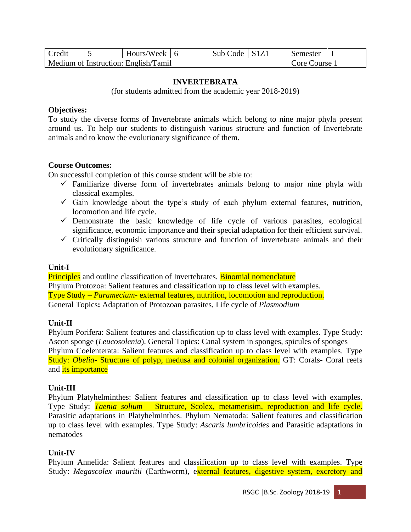| <b>Credit</b> | Hours/Week $\vert$ 6                 | Sub Code $\vert$ S1Z1 | Semester                 |  |
|---------------|--------------------------------------|-----------------------|--------------------------|--|
|               | Medium of Instruction: English/Tamil |                       | Core Course <sup>'</sup> |  |

#### **INVERTEBRATA**

(for students admitted from the academic year 2018-2019)

#### **Objectives:**

To study the diverse forms of Invertebrate animals which belong to nine major phyla present around us. To help our students to distinguish various structure and function of Invertebrate animals and to know the evolutionary significance of them.

#### **Course Outcomes:**

On successful completion of this course student will be able to:

- $\checkmark$  Familiarize diverse form of invertebrates animals belong to major nine phyla with classical examples.
- $\checkmark$  Gain knowledge about the type's study of each phylum external features, nutrition, locomotion and life cycle.
- $\checkmark$  Demonstrate the basic knowledge of life cycle of various parasites, ecological significance, economic importance and their special adaptation for their efficient survival.
- $\checkmark$  Critically distinguish various structure and function of invertebrate animals and their evolutionary significance.

#### **Unit-I**

**Principles** and outline classification of Invertebrates. **Binomial nomenclature** Phylum Protozoa: Salient features and classification up to class level with examples. Type Study – *Paramecium-* external features, nutrition, locomotion and reproduction. General Topics**:** Adaptation of Protozoan parasites, Life cycle of *Plasmodium* 

#### **Unit-II**

Phylum Porifera: Salient features and classification up to class level with examples. Type Study: Ascon sponge (*Leucosolenia*). General Topics: Canal system in sponges, spicules of sponges Phylum Coelenterata: Salient features and classification up to class level with examples. Type Study: *Obelia-* Structure of polyp, medusa and colonial organization*.* GT: Corals- Coral reefs and *its* importance

#### **Unit-III**

Phylum Platyhelminthes: Salient features and classification up to class level with examples. Type Study: *Taenia solium –* Structure, Scolex, metamerisim, reproduction and life cycle. Parasitic adaptations in Platyhelminthes. Phylum Nematoda: Salient features and classification up to class level with examples. Type Study: *Ascaris lumbricoides* and Parasitic adaptations in nematodes

#### **Unit-IV**

Phylum Annelida: Salient features and classification up to class level with examples. Type Study: *Megascolex mauritii* (Earthworm), external features, digestive system, excretory and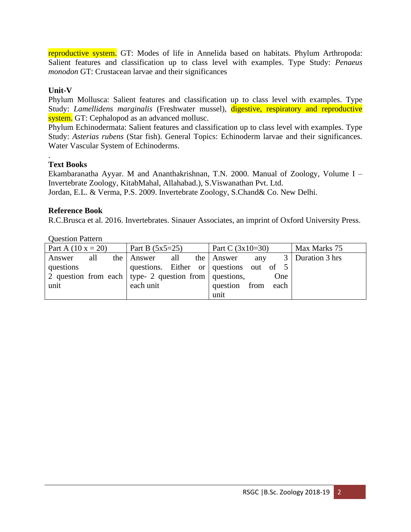reproductive system. GT: Modes of life in Annelida based on habitats. Phylum Arthropoda: Salient features and classification up to class level with examples. Type Study: *Penaeus monodon* GT: Crustacean larvae and their significances

# **Unit-V**

Phylum Mollusca: Salient features and classification up to class level with examples. Type Study: *Lamellidens marginalis* (Freshwater mussel), digestive, respiratory and reproductive system. GT: Cephalopod as an advanced mollusc.

Phylum Echinodermata: Salient features and classification up to class level with examples. Type Study: *Asterias rubens* (Star fish). General Topics: Echinoderm larvae and their significances. Water Vascular System of Echinoderms.

#### . **Text Books**

Ekambaranatha Ayyar. M and Ananthakrishnan, T.N. 2000. Manual of Zoology, Volume I – Invertebrate Zoology, KitabMahal, Allahabad.), S.Viswanathan Pvt. Ltd. Jordan, E.L. & Verma, P.S. 2009. Invertebrate Zoology, S.Chand& Co. New Delhi.

## **Reference Book**

R.C.Brusca et al. 2016. Invertebrates. Sinauer Associates, an imprint of Oxford University Press.

| <b>OUGGION L</b> allen                                    |     |                   |                                         |                    |  |                    |              |  |     |                    |
|-----------------------------------------------------------|-----|-------------------|-----------------------------------------|--------------------|--|--------------------|--------------|--|-----|--------------------|
| Part A $(10 x = 20)$                                      |     | Part B $(5x5=25)$ |                                         | Part C $(3x10=30)$ |  |                    | Max Marks 75 |  |     |                    |
| Answer                                                    | all |                   | the Answer                              | all                |  | the Answer         | any          |  |     | 3   Duration 3 hrs |
| questions                                                 |     |                   | questions. Either or questions out of 5 |                    |  |                    |              |  |     |                    |
| 2 question from each   type- 2 question from   questions, |     |                   |                                         |                    |  |                    |              |  | One |                    |
| unit                                                      |     |                   | each unit                               |                    |  | question from each |              |  |     |                    |
|                                                           |     |                   |                                         |                    |  | unit               |              |  |     |                    |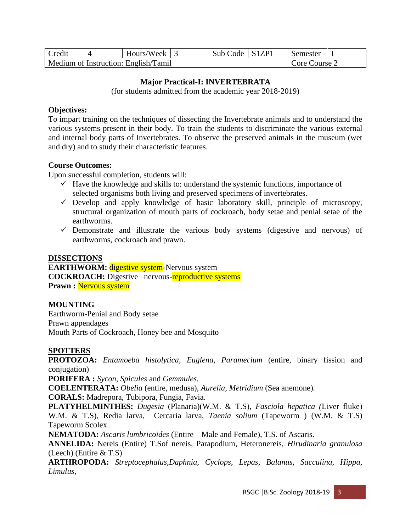| Credit | Hours/Week 3                         | Sub Code   S1ZP1 | Semester    |  |
|--------|--------------------------------------|------------------|-------------|--|
|        | Medium of Instruction: English/Tamil |                  | Core Course |  |

## **Major Practical-I: INVERTEBRATA**

(for students admitted from the academic year 2018-2019)

## **Objectives:**

To impart training on the techniques of dissecting the Invertebrate animals and to understand the various systems present in their body. To train the students to discriminate the various external and internal body parts of Invertebrates. To observe the preserved animals in the museum (wet and dry) and to study their characteristic features.

# **Course Outcomes:**

Upon successful completion, students will:

- $\checkmark$  Have the knowledge and skills to: understand the systemic functions, importance of selected organisms both living and preserved specimens of invertebrates.
- $\checkmark$  Develop and apply knowledge of basic laboratory skill, principle of microscopy, structural organization of mouth parts of cockroach, body setae and penial setae of the earthworms.
- ✓ Demonstrate and illustrate the various body systems (digestive and nervous) of earthworms, cockroach and prawn.

## **DISSECTIONS**

**EARTHWORM:** digestive system-Nervous system **COCKROACH:** Digestive –nervous-reproductive systems **Prawn :** Nervous system

## **MOUNTING**

Earthworm-Penial and Body setae Prawn appendages Mouth Parts of Cockroach, Honey bee and Mosquito

# **SPOTTERS**

**PROTOZOA:** *Entamoeba histolytica, Euglena, Paramecium* (entire, binary fission and conjugation)

**PORIFERA :** *Sycon, Spicules* and *Gemmules.* 

**COELENTERATA:** *Obelia* (entire, medusa), *Aurelia, Metridium* (Sea anemone)*.* 

**CORALS:** Madrepora, Tubipora, Fungia, Favia.

**PLATYHELMINTHES:** *Dugesia* (Planaria)(W.M. & T.S), *Fasciola hepatica (*Liver fluke) W.M. & T.S), Redia larva, Cercaria larva, *Taenia solium* (Tapeworm ) (W.M. & T.S) Tapeworm Scolex.

**NEMATODA:** *Ascaris lumbricoides* (Entire – Male and Female), T.S. of Ascaris.

**ANNELIDA:** Nereis (Entire) T.Sof nereis, Parapodium, Heteronereis, *Hirudinaria granulosa* (Leech) (Entire & T.S)

**ARTHROPODA:** *Streptocephalus,Daphnia, Cyclops, Lepas, Balanus, Sacculina, Hippa, Limulus,*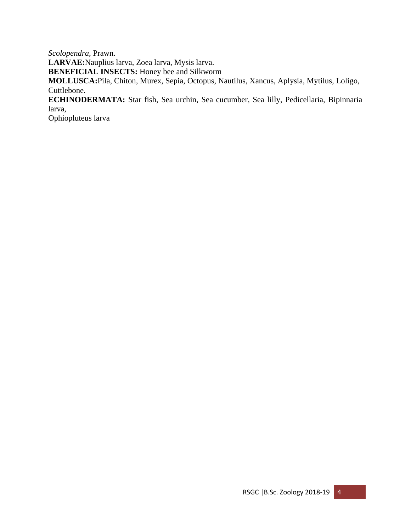*Scolopendra,* Prawn.

**LARVAE:**Nauplius larva, Zoea larva, Mysis larva.

**BENEFICIAL INSECTS:** Honey bee and Silkworm

**MOLLUSCA:**Pila, Chiton, Murex, Sepia, Octopus, Nautilus, Xancus, Aplysia, Mytilus, Loligo, Cuttlebone.

**ECHINODERMATA:** Star fish, Sea urchin, Sea cucumber, Sea lilly, Pedicellaria, Bipinnaria larva,

Ophiopluteus larva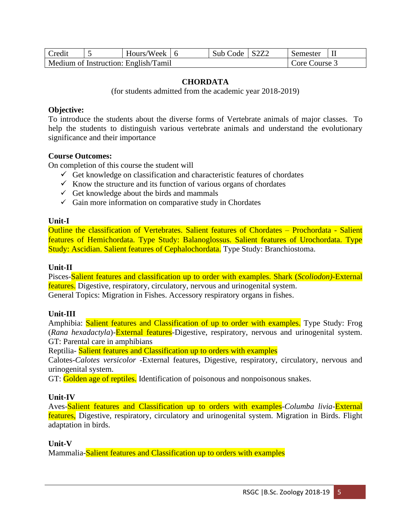| <b>Credit</b> | Hours/Week $\vert$ 6                 | Sub Code   S2Z2 | Semester      |  |
|---------------|--------------------------------------|-----------------|---------------|--|
|               | Medium of Instruction: English/Tamil |                 | Core Course 3 |  |

### **CHORDATA**

(for students admitted from the academic year 2018-2019)

#### **Objective:**

To introduce the students about the diverse forms of Vertebrate animals of major classes. To help the students to distinguish various vertebrate animals and understand the evolutionary significance and their importance

### **Course Outcomes:**

On completion of this course the student will

- $\checkmark$  Get knowledge on classification and characteristic features of chordates
- $\checkmark$  Know the structure and its function of various organs of chordates
- $\checkmark$  Get knowledge about the birds and mammals
- $\checkmark$  Gain more information on comparative study in Chordates

## **Unit-I**

Outline the classification of Vertebrates. Salient features of Chordates – Prochordata - Salient features of Hemichordata. Type Study: Balanoglossus. Salient features of Urochordata. Type Study: Ascidian. Salient features of Cephalochordata. Type Study: Branchiostoma.

#### **Unit-II**

Pisces-Salient features and classification up to order with examples. Shark (*Scoliodon)*-External features. Digestive, respiratory, circulatory, nervous and urinogenital system. General Topics: Migration in Fishes. Accessory respiratory organs in fishes.

## **Unit-III**

Amphibia: Salient features and Classification of up to order with examples. Type Study: Frog (*Rana hexadactyla*)-External features-Digestive, respiratory, nervous and urinogenital system. GT: Parental care in amphibians

Reptilia- Salient features and Classification up to orders with examples

Calotes-*Calotes versicolor* -External features, Digestive, respiratory, circulatory, nervous and urinogenital system.

GT: Golden age of reptiles. Identification of poisonous and nonpoisonous snakes.

## **Unit-IV**

Aves-Salient features and Classification up to orders with examples-*Columba livia*-External features, Digestive, respiratory, circulatory and urinogenital system. Migration in Birds. Flight adaptation in birds.

## **Unit-V**

Mammalia-Salient features and Classification up to orders with examples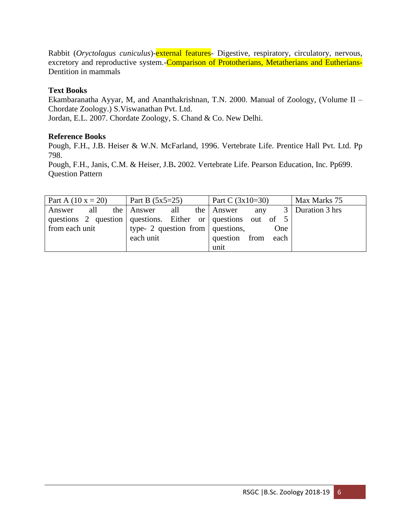Rabbit (*Oryctolagus cuniculus*)-external features- Digestive, respiratory, circulatory, nervous, excretory and reproductive system. Comparison of Prototherians, Metatherians and Eutherians-Dentition in mammals

# **Text Books**

Ekambaranatha Ayyar, M, and Ananthakrishnan, T.N. 2000. Manual of Zoology, (Volume II – Chordate Zoology.) S.Viswanathan Pvt. Ltd. Jordan, E.L. 2007. Chordate Zoology, S. Chand & Co. New Delhi.

# **Reference Books**

Pough, F.H., J.B. Heiser & W.N. McFarland, 1996. Vertebrate Life. Prentice Hall Pvt. Ltd. Pp 798.

Pough, F.H., Janis, C.M. & Heiser, J.B**.** 2002. Vertebrate Life. Pearson Education, Inc. Pp699. Question Pattern

| Part A $(10 x = 20)$ | Part B $(5x5=25)$                                            | Part C $(3x10=30)$    | Max Marks 75       |
|----------------------|--------------------------------------------------------------|-----------------------|--------------------|
| all<br>Answer        | the Answer<br>all                                            | the Answer<br>any     | 3   Duration 3 hrs |
|                      | questions 2 question questions. Either or questions out of 5 |                       |                    |
| from each unit       | type- 2 question from $\vert$ questions,                     | <b>One</b>            |                    |
|                      | each unit                                                    | question from<br>each |                    |
|                      |                                                              | unit                  |                    |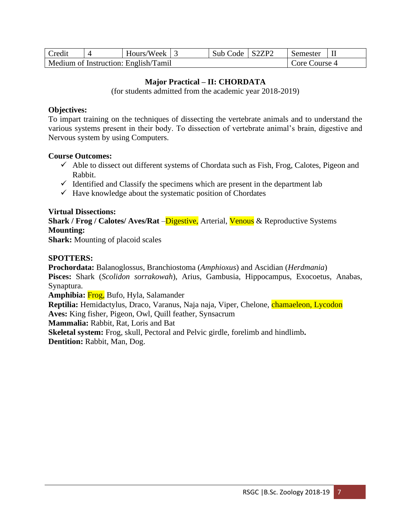| Credit | Hours/Week $\vert$ 3                 | Sub Code | $\vert$ S2ZP2 | Semester      |  |
|--------|--------------------------------------|----------|---------------|---------------|--|
|        | Medium of Instruction: English/Tamil |          |               | Core Course 4 |  |

# **Major Practical – II: CHORDATA**

(for students admitted from the academic year 2018-2019)

#### **Objectives:**

To impart training on the techniques of dissecting the vertebrate animals and to understand the various systems present in their body. To dissection of vertebrate animal's brain, digestive and Nervous system by using Computers.

#### **Course Outcomes:**

- $\checkmark$  Able to dissect out different systems of Chordata such as Fish, Frog, Calotes, Pigeon and Rabbit.
- $\checkmark$  Identified and Classify the specimens which are present in the department lab
- $\checkmark$  Have knowledge about the systematic position of Chordates

### **Virtual Dissections:**

**Shark / Frog / Calotes/ Aves/Rat** – Digestive, Arterial, Venous & Reproductive Systems **Mounting:**

**Shark:** Mounting of placoid scales

### **SPOTTERS:**

**Prochordata:** Balanoglossus, Branchiostoma (*Amphioxus*) and Ascidian (*Herdmania*) **Pisces:** Shark (*Scolidon sorrakowah*), Arius, Gambusia, Hippocampus, Exocoetus, Anabas, Synaptura.

**Amphibia:** Frog, Bufo, Hyla, Salamander

**Reptilia:** Hemidactylus, Draco, Varanus, Naja naja, Viper, Chelone, chamaeleon, Lycodon **Aves:** King fisher, Pigeon, Owl, Quill feather, Synsacrum

**Mammalia:** Rabbit, Rat, Loris and Bat

**Skeletal system:** Frog, skull, Pectoral and Pelvic girdle, forelimb and hindlimb**. Dentition:** Rabbit, Man, Dog.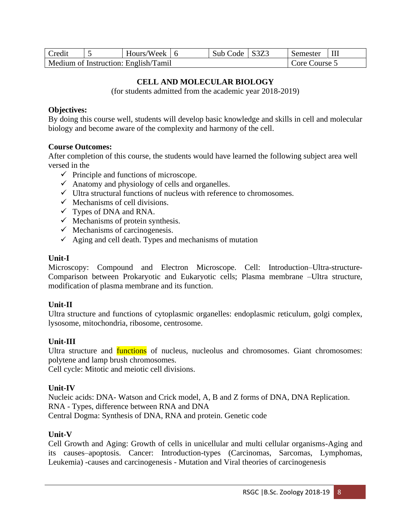| Credit | Hours/Week $\overline{6}$            | Sub Code   S3Z3 | Semester      |  |
|--------|--------------------------------------|-----------------|---------------|--|
|        | Medium of Instruction: English/Tamil |                 | Core Course ? |  |

# **CELL AND MOLECULAR BIOLOGY**

(for students admitted from the academic year 2018-2019)

### **Objectives:**

By doing this course well, students will develop basic knowledge and skills in cell and molecular biology and become aware of the complexity and harmony of the cell.

### **Course Outcomes:**

After completion of this course, the students would have learned the following subject area well versed in the

- $\checkmark$  Principle and functions of microscope.
- $\checkmark$  Anatomy and physiology of cells and organelles.
- $\checkmark$  Ultra structural functions of nucleus with reference to chromosomes.
- $\checkmark$  Mechanisms of cell divisions.
- $\checkmark$  Types of DNA and RNA.
- $\checkmark$  Mechanisms of protein synthesis.
- $\checkmark$  Mechanisms of carcinogenesis.
- $\checkmark$  Aging and cell death. Types and mechanisms of mutation

#### **Unit-I**

Microscopy: Compound and Electron Microscope. Cell: Introduction–Ultra-structure-Comparison between Prokaryotic and Eukaryotic cells; Plasma membrane –Ultra structure, modification of plasma membrane and its function.

## **Unit-II**

Ultra structure and functions of cytoplasmic organelles: endoplasmic reticulum, golgi complex, lysosome, mitochondria, ribosome, centrosome.

## **Unit-III**

Ultra structure and **functions** of nucleus, nucleolus and chromosomes. Giant chromosomes: polytene and lamp brush chromosomes.

Cell cycle: Mitotic and meiotic cell divisions.

## **Unit-IV**

Nucleic acids: DNA- Watson and Crick model, A, B and Z forms of DNA, DNA Replication. RNA - Types, difference between RNA and DNA Central Dogma: Synthesis of DNA, RNA and protein. Genetic code

## **Unit-V**

Cell Growth and Aging: Growth of cells in unicellular and multi cellular organisms-Aging and its causes–apoptosis. Cancer: Introduction-types (Carcinomas, Sarcomas, Lymphomas, Leukemia) -causes and carcinogenesis - Mutation and Viral theories of carcinogenesis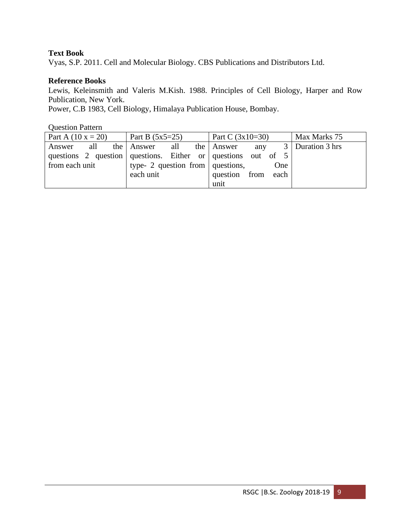# **Text Book**

Vyas, S.P. 2011. Cell and Molecular Biology. CBS Publications and Distributors Ltd.

# **Reference Books**

Lewis, Keleinsmith and Valeris M.Kish. 1988. Principles of Cell Biology, Harper and Row Publication, New York.

Power, C.B 1983, Cell Biology, Himalaya Publication House, Bombay.

| <b>Question Pattern</b> |                                                              |                    |                    |
|-------------------------|--------------------------------------------------------------|--------------------|--------------------|
| Part A $(10 x = 20)$    | Part B $(5x5=25)$                                            | Part C $(3x10=30)$ | Max Marks 75       |
| Answer all              | the Answer all the Answer                                    | any                | 3   Duration 3 hrs |
|                         | questions 2 question questions. Either or questions out of 5 |                    |                    |
| from each unit          | type- 2 question from questions,                             | <b>One</b>         |                    |
|                         | each unit                                                    | question from each |                    |
|                         |                                                              | unit               |                    |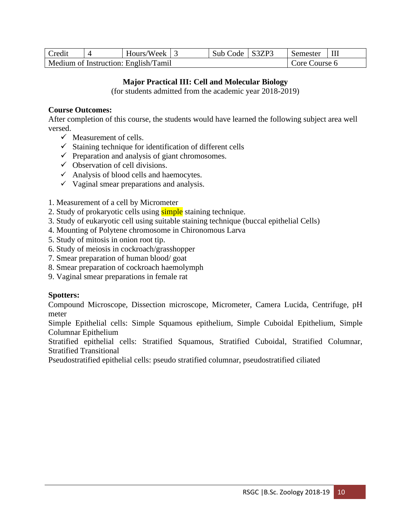| Credit | Hours/Week $\vert$ 3                 | Sub Code   S3ZP3 | Semester      |  |
|--------|--------------------------------------|------------------|---------------|--|
|        | Medium of Instruction: English/Tamil |                  | Core Course 6 |  |

# **Major Practical III: Cell and Molecular Biology**

(for students admitted from the academic year 2018-2019)

## **Course Outcomes:**

After completion of this course, the students would have learned the following subject area well versed.

- $\checkmark$  Measurement of cells.
- $\checkmark$  Staining technique for identification of different cells
- $\checkmark$  Preparation and analysis of giant chromosomes.
- $\checkmark$  Observation of cell divisions.
- $\checkmark$  Analysis of blood cells and haemocytes.
- $\checkmark$  Vaginal smear preparations and analysis.
- 1. Measurement of a cell by Micrometer
- 2. Study of prokaryotic cells using simple staining technique.
- 3. Study of eukaryotic cell using suitable staining technique (buccal epithelial Cells)
- 4. Mounting of Polytene chromosome in Chironomous Larva
- 5. Study of mitosis in onion root tip.
- 6. Study of meiosis in cockroach/grasshopper
- 7. Smear preparation of human blood/ goat
- 8. Smear preparation of cockroach haemolymph
- 9. Vaginal smear preparations in female rat

# **Spotters:**

Compound Microscope, Dissection microscope, Micrometer, Camera Lucida, Centrifuge, pH meter

Simple Epithelial cells: Simple Squamous epithelium, Simple Cuboidal Epithelium, Simple Columnar Epithelium

Stratified epithelial cells: Stratified Squamous, Stratified Cuboidal, Stratified Columnar, Stratified Transitional

Pseudostratified epithelial cells: pseudo stratified columnar, pseudostratified ciliated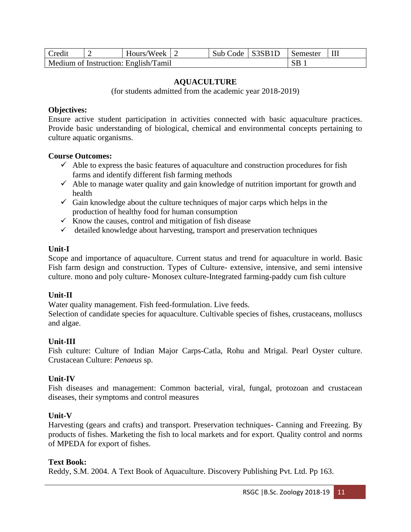| <b>Credit</b> | Hours/Week $\vert$ 2                 | Sub Code   S3SB1D | Semester  | $\perp$ III |
|---------------|--------------------------------------|-------------------|-----------|-------------|
|               | Medium of Instruction: English/Tamil |                   | <b>SB</b> |             |

### **AQUACULTURE**

(for students admitted from the academic year 2018-2019)

#### **Objectives:**

Ensure active student participation in activities connected with basic aquaculture practices. Provide basic understanding of biological, chemical and environmental concepts pertaining to culture aquatic organisms.

#### **Course Outcomes:**

- $\checkmark$  Able to express the basic features of aquaculture and construction procedures for fish farms and identify different fish farming methods
- $\checkmark$  Able to manage water quality and gain knowledge of nutrition important for growth and health
- $\checkmark$  Gain knowledge about the culture techniques of major carps which helps in the production of healthy food for human consumption
- $\checkmark$  Know the causes, control and mitigation of fish disease
- $\checkmark$  detailed knowledge about harvesting, transport and preservation techniques

#### **Unit-I**

Scope and importance of aquaculture. Current status and trend for aquaculture in world. Basic Fish farm design and construction. Types of Culture- extensive, intensive, and semi intensive culture. mono and poly culture- Monosex culture-Integrated farming-paddy cum fish culture

#### **Unit-II**

Water quality management. Fish feed-formulation. Live feeds.

Selection of candidate species for aquaculture. Cultivable species of fishes, crustaceans, molluscs and algae.

#### **Unit-III**

Fish culture: Culture of Indian Major Carps-Catla, Rohu and Mrigal. Pearl Oyster culture. Crustacean Culture: *Penaeus* sp.

#### **Unit-IV**

Fish diseases and management: Common bacterial, viral, fungal, protozoan and crustacean diseases, their symptoms and control measures

#### **Unit-V**

Harvesting (gears and crafts) and transport. Preservation techniques- Canning and Freezing. By products of fishes. Marketing the fish to local markets and for export. Quality control and norms of MPEDA for export of fishes.

#### **Text Book:**

Reddy, S.M. 2004. A Text Book of Aquaculture. Discovery Publishing Pvt. Ltd. Pp 163.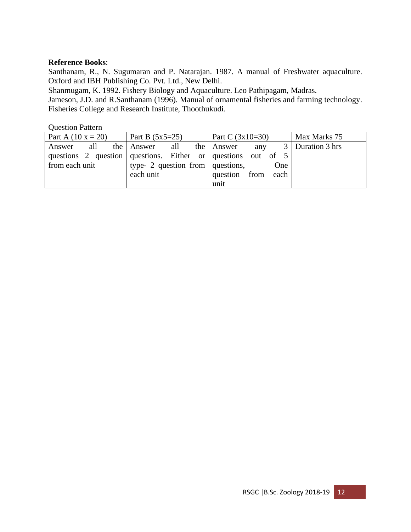## **Reference Books**:

Santhanam, R., N. Sugumaran and P. Natarajan. 1987. A manual of Freshwater aquaculture. Oxford and IBH Publishing Co. Pvt. Ltd., New Delhi.

Shanmugam, K. 1992. Fishery Biology and Aquaculture. Leo Pathipagam, Madras.

Jameson, J.D. and R.Santhanam (1996). Manual of ornamental fisheries and farming technology. Fisheries College and Research Institute, Thoothukudi.

| Part A $(10 x = 20)$ | Part B $(5x5=25)$                                              | Part C $(3x10=30)$ | Max Marks 75       |
|----------------------|----------------------------------------------------------------|--------------------|--------------------|
| all<br>Answer        | the Answer<br>all                                              | the Answer<br>any  | 3   Duration 3 hrs |
|                      | questions 2 question questions. Either or questions out of $5$ |                    |                    |
| from each unit       | type- 2 question from $\vert$ questions,                       | One                |                    |
|                      | each unit                                                      | question from each |                    |
|                      |                                                                | unit               |                    |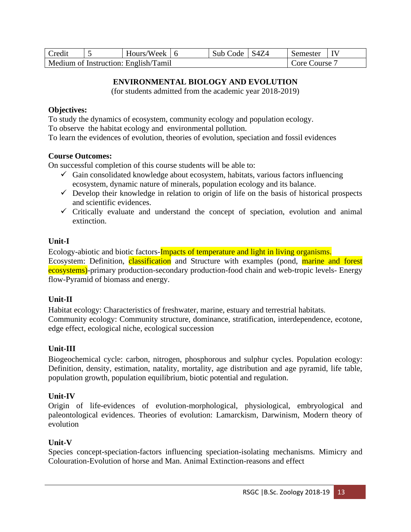| Credit | Hours/Week $\vert$ 6                 | Sub Code | S4Z4 | Semester    |  |
|--------|--------------------------------------|----------|------|-------------|--|
|        | Medium of Instruction: English/Tamil |          |      | Core Course |  |

# **ENVIRONMENTAL BIOLOGY AND EVOLUTION**

(for students admitted from the academic year 2018-2019)

#### **Objectives:**

To study the dynamics of ecosystem, community ecology and population ecology. To observe the habitat ecology and environmental pollution.

To learn the evidences of evolution, theories of evolution, speciation and fossil evidences

### **Course Outcomes:**

On successful completion of this course students will be able to:

- $\checkmark$  Gain consolidated knowledge about ecosystem, habitats, various factors influencing ecosystem, dynamic nature of minerals, population ecology and its balance.
- $\checkmark$  Develop their knowledge in relation to origin of life on the basis of historical prospects and scientific evidences.
- $\checkmark$  Critically evaluate and understand the concept of speciation, evolution and animal extinction.

### **Unit-I**

Ecology-abiotic and biotic factors-Impacts of temperature and light in living organisms. Ecosystem: Definition, classification and Structure with examples (pond, marine and forest ecosystems)-primary production-secondary production-food chain and web-tropic levels- Energy flow-Pyramid of biomass and energy.

## **Unit-II**

Habitat ecology: Characteristics of freshwater, marine, estuary and terrestrial habitats. Community ecology: Community structure, dominance, stratification, interdependence, ecotone, edge effect, ecological niche, ecological succession

## **Unit-III**

Biogeochemical cycle: carbon, nitrogen, phosphorous and sulphur cycles. Population ecology: Definition, density, estimation, natality, mortality, age distribution and age pyramid, life table, population growth, population equilibrium, biotic potential and regulation.

## **Unit-IV**

Origin of life-evidences of evolution-morphological, physiological, embryological and paleontological evidences. Theories of evolution: Lamarckism, Darwinism, Modern theory of evolution

## **Unit-V**

Species concept-speciation-factors influencing speciation-isolating mechanisms. Mimicry and Colouration-Evolution of horse and Man. Animal Extinction-reasons and effect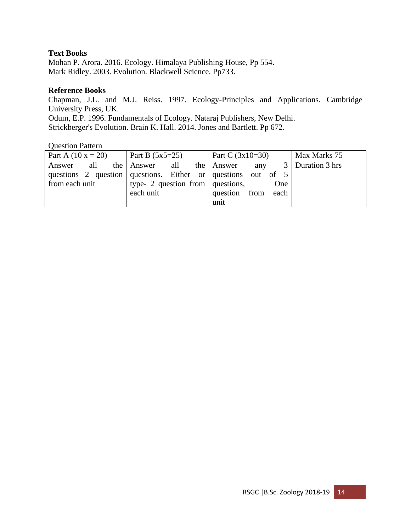# **Text Books**

Mohan P. Arora. 2016. Ecology. Himalaya Publishing House, Pp 554. Mark Ridley. 2003. Evolution. Blackwell Science. Pp733.

### **Reference Books**

Chapman, J.L. and M.J. Reiss. 1997. Ecology-Principles and Applications. Cambridge University Press, UK.

Odum, E.P. 1996. Fundamentals of Ecology. Nataraj Publishers, New Delhi. Strickberger's Evolution. Brain K. Hall. 2014. Jones and Bartlett. Pp 672.

| Part A $(10 x = 20)$ | Part B $(5x5=25)$                                              | Part C $(3x10=30)$ | Max Marks 75       |
|----------------------|----------------------------------------------------------------|--------------------|--------------------|
| Answer               | all the Answer<br>all                                          | the Answer<br>any  | 3   Duration 3 hrs |
|                      | questions 2 question questions. Either or questions out of $5$ |                    |                    |
| from each unit       | type- 2 question from $\vert$ questions,                       | One                |                    |
|                      | each unit                                                      | question from each |                    |
|                      |                                                                | unit               |                    |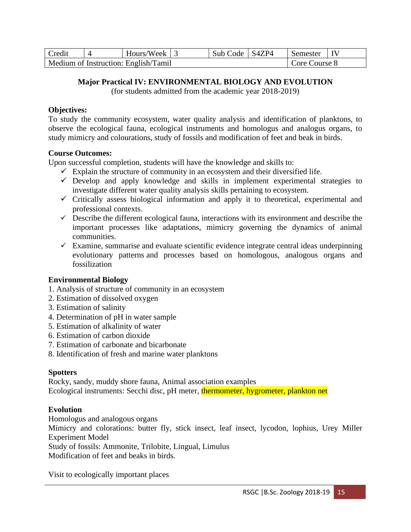| Credit | Hours/Week 3                         | Sub Code   S4ZP4 | Semester      |  |
|--------|--------------------------------------|------------------|---------------|--|
|        | Medium of Instruction: English/Tamil |                  | Core Course 8 |  |

# **Major Practical IV: ENVIRONMENTAL BIOLOGY AND EVOLUTION**

(for students admitted from the academic year 2018-2019)

# **Objectives:**

To study the community ecosystem, water quality analysis and identification of planktons, to observe the ecological fauna, ecological instruments and homologus and analogus organs, to study mimicry and colourations, study of fossils and modification of feet and beak in birds.

# **Course Outcomes:**

Upon successful completion, students will have the knowledge and skills to:

- $\checkmark$  Explain the structure of community in an ecosystem and their diversified life.
- $\checkmark$  Develop and apply knowledge and skills in implement experimental strategies to investigate different water quality analysis skills pertaining to ecosystem.
- $\checkmark$  Critically assess biological information and apply it to theoretical, experimental and professional contexts.
- $\checkmark$  Describe the different ecological fauna, interactions with its environment and describe the important processes like adaptations, mimicry governing the dynamics of animal communities.
- $\checkmark$  Examine, summarise and evaluate scientific evidence integrate central ideas underpinning evolutionary patterns and processes based on homologous, analogous organs and fossilization

## **Environmental Biology**

- 1. Analysis of structure of community in an ecosystem
- 2. Estimation of dissolved oxygen
- 3. Estimation of salinity
- 4. Determination of pH in water sample
- 5. Estimation of alkalinity of water
- 6. Estimation of carbon dioxide
- 7. Estimation of carbonate and bicarbonate
- 8. Identification of fresh and marine water planktons

# **Spotters**

Rocky, sandy, muddy shore fauna, Animal association examples Ecological instruments: Secchi disc, pH meter, thermometer, hygrometer, plankton net

# **Evolution**

Homologus and analogous organs Mimicry and colorations: butter fly, stick insect, leaf insect, lycodon, lophius, Urey Miller Experiment Model Study of fossils: Ammonite, Trilobite, Lingual, Limulus Modification of feet and beaks in birds.

Visit to ecologically important places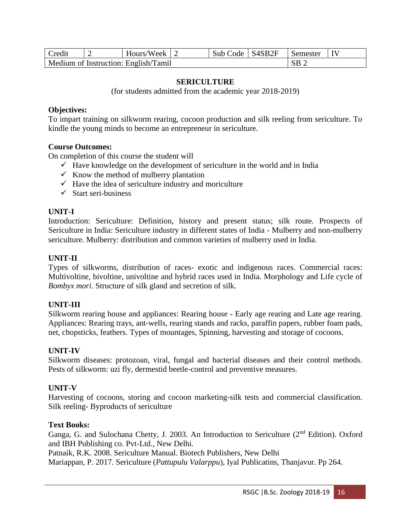| <b>Credit</b> | Hours/Week 2                         | Sub Code   S4SB2F | Semester   IV   |  |
|---------------|--------------------------------------|-------------------|-----------------|--|
|               | Medium of Instruction: English/Tamil |                   | $\overline{AB}$ |  |

### **SERICULTURE**

(for students admitted from the academic year 2018-2019)

#### **Objectives:**

To impart training on silkworm rearing, cocoon production and silk reeling from sericulture. To kindle the young minds to become an entrepreneur in sericulture.

#### **Course Outcomes:**

On completion of this course the student will

- $\checkmark$  Have knowledge on the development of sericulture in the world and in India
- $\checkmark$  Know the method of mulberry plantation
- $\checkmark$  Have the idea of sericulture industry and moriculture
- $\checkmark$  Start seri-business

#### **UNIT-I**

Introduction: Sericulture: Definition, history and present status; silk route. Prospects of Sericulture in India: Sericulture industry in different states of India - Mulberry and non-mulberry sericulture. Mulberry: distribution and common varieties of mulberry used in India.

#### **UNIT-II**

Types of silkworms, distribution of races- exotic and indigenous races. Commercial races: Multivoltine, bivoltine, univoltine and hybrid races used in India. Morphology and Life cycle of *Bombyx mori*. Structure of silk gland and secretion of silk.

#### **UNIT-III**

Silkworm rearing house and appliances: Rearing house - Early age rearing and Late age rearing. Appliances: Rearing trays, ant-wells, rearing stands and racks, paraffin papers, rubber foam pads, net, chopsticks, feathers. Types of mountages, Spinning, harvesting and storage of cocoons.

#### **UNIT-IV**

Silkworm diseases: protozoan, viral, fungal and bacterial diseases and their control methods. Pests of silkworm: uzi fly, dermestid beetle-control and preventive measures.

#### **UNIT-V**

Harvesting of cocoons, storing and cocoon marketing-silk tests and commercial classification. Silk reeling- Byproducts of sericulture

#### **Text Books:**

Ganga, G. and Sulochana Chetty, J. 2003. An Introduction to Sericulture (2<sup>nd</sup> Edition). Oxford and IBH Publishing co. Pvt-Ltd., New Delhi.

Patnaik, R.K. 2008. Sericulture Manual. Biotech Publishers, New Delhi

Mariappan, P. 2017. Sericulture (*Pattupulu Valarppu*), Iyal Publicatins, Thanjavur. Pp 264.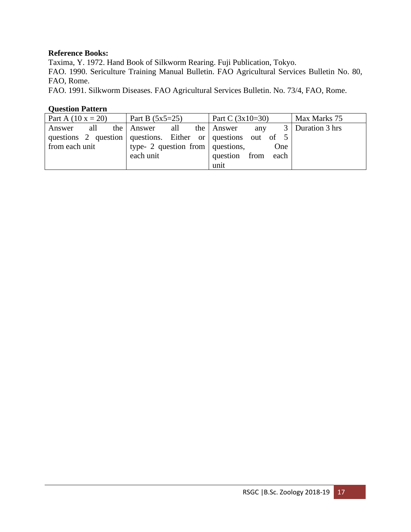## **Reference Books:**

Taxima, Y. 1972. Hand Book of Silkworm Rearing. Fuji Publication, Tokyo.

FAO. 1990. Sericulture Training Manual Bulletin. FAO Agricultural Services Bulletin No. 80, FAO, Rome.

FAO. 1991. Silkworm Diseases. FAO Agricultural Services Bulletin. No. 73/4, FAO, Rome.

| Part A $(10 x = 20)$ | Part B $(5x5=25)$                                            | Part C $(3x10=30)$ | Max Marks 75       |
|----------------------|--------------------------------------------------------------|--------------------|--------------------|
| all<br>Answer        | the Answer<br>all                                            | the Answer<br>any  | 3   Duration 3 hrs |
|                      | questions 2 question questions. Either or questions out of 5 |                    |                    |
| from each unit       | type- 2 question from $\vert$ questions,                     | One                |                    |
|                      | each unit                                                    | question from each |                    |
|                      |                                                              | unit               |                    |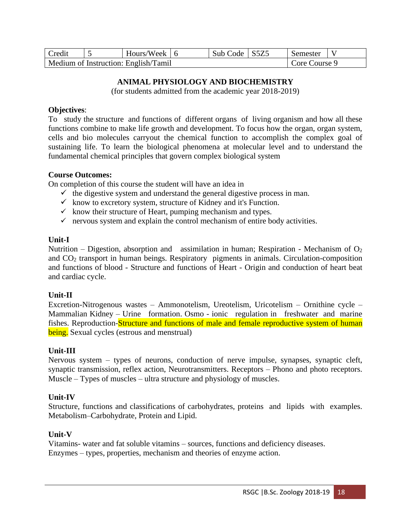| Credit | Hours/Week   6                       | Sub Code   S5Z5 | Semester         |  |
|--------|--------------------------------------|-----------------|------------------|--|
|        | Medium of Instruction: English/Tamil |                 | $C$ ore Course 9 |  |

# **ANIMAL PHYSIOLOGY AND BIOCHEMISTRY**

(for students admitted from the academic year 2018-2019)

### **Objectives**:

To study the structure and functions of different organs of living organism and how all these functions combine to make life growth and development. To focus how the organ, organ system, cells and bio molecules carryout the chemical function to accomplish the complex goal of sustaining life. To learn the biological phenomena at molecular level and to understand the fundamental chemical principles that govern complex biological system

### **Course Outcomes:**

On completion of this course the student will have an idea in

- $\checkmark$  the digestive system and understand the general digestive process in man.
- $\checkmark$  know to excretory system, structure of Kidney and it's Function.
- $\checkmark$  know their structure of Heart, pumping mechanism and types.
- $\checkmark$  nervous system and explain the control mechanism of entire body activities.

## **Unit-I**

Nutrition – Digestion, absorption and assimilation in human; Respiration - Mechanism of  $O<sub>2</sub>$ and CO<sup>2</sup> transport in human beings. Respiratory pigments in animals. Circulation-composition and functions of blood - Structure and functions of Heart - Origin and conduction of heart beat and cardiac cycle.

## **Unit-II**

Excretion-Nitrogenous wastes – Ammonotelism, Ureotelism, Uricotelism – Ornithine cycle – Mammalian Kidney – Urine formation. Osmo - ionic regulation in freshwater and marine fishes. Reproduction-Structure and functions of male and female reproductive system of human being. Sexual cycles (estrous and menstrual)

# **Unit-III**

Nervous system – types of neurons, conduction of nerve impulse, synapses, synaptic cleft, synaptic transmission, reflex action, Neurotransmitters. Receptors – Phono and photo receptors. Muscle – Types of muscles – ultra structure and physiology of muscles.

## **Unit-IV**

Structure, functions and classifications of carbohydrates, proteins and lipids with examples. Metabolism–Carbohydrate, Protein and Lipid.

## **Unit-V**

Vitamins- water and fat soluble vitamins – sources, functions and deficiency diseases. Enzymes – types, properties, mechanism and theories of enzyme action.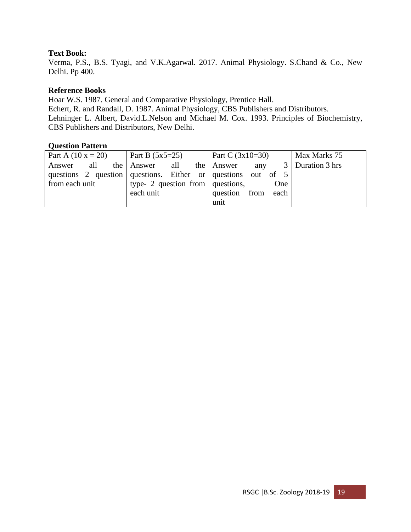# **Text Book:**

Verma, P.S., B.S. Tyagi, and V.K.Agarwal. 2017. Animal Physiology. S.Chand & Co., New Delhi. Pp 400.

### **Reference Books**

Hoar W.S. 1987. General and Comparative Physiology, Prentice Hall. Echert, R. and Randall, D. 1987. Animal Physiology, CBS Publishers and Distributors. Lehninger L. Albert, David.L.Nelson and Michael M. Cox. 1993. Principles of Biochemistry, CBS Publishers and Distributors, New Delhi.

| Part A $(10 x = 20)$ | Part B $(5x5=25)$                                              | Part C $(3x10=30)$ | Max Marks 75       |
|----------------------|----------------------------------------------------------------|--------------------|--------------------|
| Answer               | all the Answer<br>all                                          | the Answer<br>any  | 3   Duration 3 hrs |
|                      | questions 2 question questions. Either or questions out of $5$ |                    |                    |
| from each unit       | type- 2 question from $\vert$ questions,                       | One                |                    |
|                      | each unit                                                      | question from each |                    |
|                      |                                                                | unit               |                    |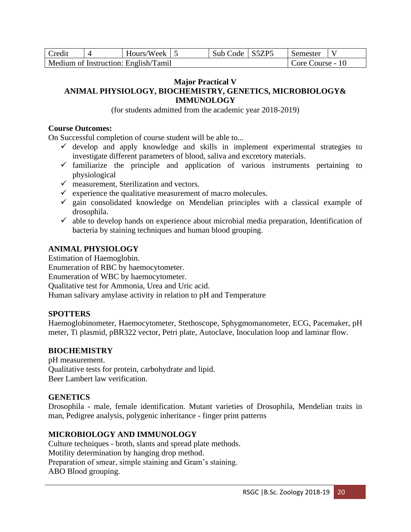| Credit | Hours/Week $\vert 5 \vert$           | Sub Code S5ZP5 | Semester         |  |
|--------|--------------------------------------|----------------|------------------|--|
|        | Medium of Instruction: English/Tamil |                | Core Course - 10 |  |

#### **Major Practical V ANIMAL PHYSIOLOGY, BIOCHEMISTRY, GENETICS, MICROBIOLOGY& IMMUNOLOGY**

(for students admitted from the academic year 2018-2019)

### **Course Outcomes:**

On Successful completion of course student will be able to...

- $\checkmark$  develop and apply knowledge and skills in implement experimental strategies to investigate different parameters of blood, saliva and excretory materials.
- $\checkmark$  familiarize the principle and application of various instruments pertaining to physiological
- $\checkmark$  measurement, Sterilization and vectors.
- $\checkmark$  experience the qualitative measurement of macro molecules.
- $\checkmark$  gain consolidated knowledge on Mendelian principles with a classical example of drosophila.
- $\checkmark$  able to develop hands on experience about microbial media preparation, Identification of bacteria by staining techniques and human blood grouping.

# **ANIMAL PHYSIOLOGY**

Estimation of Haemoglobin. Enumeration of RBC by haemocytometer. Enumeration of WBC by haemocytometer. Qualitative test for Ammonia, Urea and Uric acid. Human salivary amylase activity in relation to pH and Temperature

## **SPOTTERS**

Haemoglobinometer, Haemocytometer, Stethoscope, Sphygmomanometer, ECG, Pacemaker, pH meter, Ti plasmid, pBR322 vector, Petri plate, Autoclave, Inoculation loop and laminar flow.

## **BIOCHEMISTRY**

pH measurement. Qualitative tests for protein, carbohydrate and lipid. Beer Lambert law verification.

## **GENETICS**

Drosophila - male, female identification. Mutant varieties of Drosophila, Mendelian traits in man, Pedigree analysis, polygenic inheritance - finger print patterns

## **MICROBIOLOGY AND IMMUNOLOGY**

Culture techniques - broth, slants and spread plate methods. Motility determination by hanging drop method. Preparation of smear, simple staining and Gram's staining. ABO Blood grouping.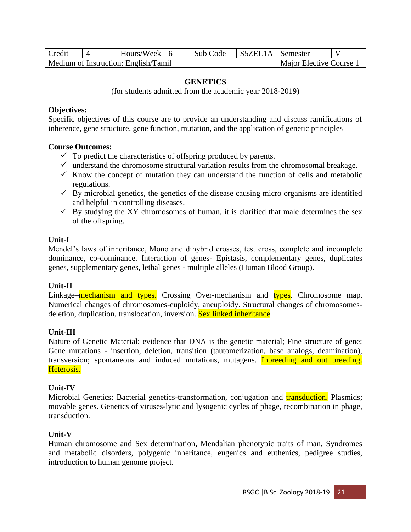| Credit | Hours/Week 6                         | Sub Code | S5ZEL1A Semester |                         |  |
|--------|--------------------------------------|----------|------------------|-------------------------|--|
|        | Medium of Instruction: English/Tamil |          |                  | Major Elective Course 1 |  |

## **GENETICS**

(for students admitted from the academic year 2018-2019)

### **Objectives:**

Specific objectives of this course are to provide an understanding and discuss ramifications of inherence, gene structure, gene function, mutation, and the application of genetic principles

#### **Course Outcomes:**

- $\checkmark$  To predict the characteristics of offspring produced by parents.
- $\checkmark$  understand the chromosome structural variation results from the chromosomal breakage.
- $\checkmark$  Know the concept of mutation they can understand the function of cells and metabolic regulations.
- $\checkmark$  By microbial genetics, the genetics of the disease causing micro organisms are identified and helpful in controlling diseases.
- $\checkmark$  By studying the XY chromosomes of human, it is clarified that male determines the sex of the offspring.

### **Unit-I**

Mendel's laws of inheritance, Mono and dihybrid crosses, test cross, complete and incomplete dominance, co-dominance. Interaction of genes- Epistasis, complementary genes, duplicates genes, supplementary genes, lethal genes - multiple alleles (Human Blood Group).

## **Unit-II**

Linkage–mechanism and types. Crossing Over-mechanism and types. Chromosome map. Numerical changes of chromosomes-euploidy, aneuploidy. Structural changes of chromosomesdeletion, duplication, translocation, inversion. Sex linked inheritance

## **Unit-III**

Nature of Genetic Material: evidence that DNA is the genetic material; Fine structure of gene; Gene mutations - insertion, deletion, transition (tautomerization, base analogs, deamination), transversion; spontaneous and induced mutations, mutagens. Inbreeding and out breeding. Heterosis.

#### **Unit-IV**

Microbial Genetics: Bacterial genetics-transformation, conjugation and **transduction**. Plasmids; movable genes. Genetics of viruses-lytic and lysogenic cycles of phage, recombination in phage, transduction.

## **Unit-V**

Human chromosome and Sex determination, Mendalian phenotypic traits of man, Syndromes and metabolic disorders, polygenic inheritance, eugenics and euthenics, pedigree studies, introduction to human genome project.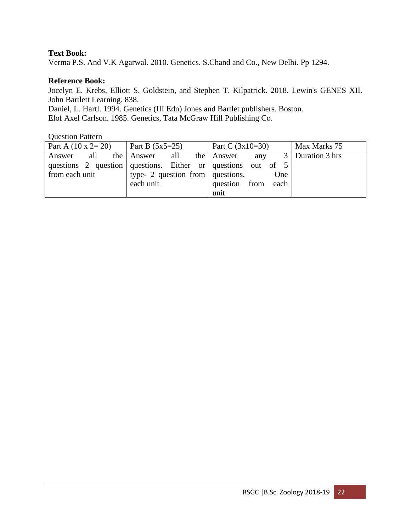# **Text Book:**

Verma P.S. And V.K Agarwal. 2010. Genetics. S.Chand and Co., New Delhi. Pp 1294.

#### **Reference Book:**

Jocelyn E. Krebs, Elliott S. Goldstein, and Stephen T. Kilpatrick. 2018. Lewin's GENES XII. John Bartlett Learning. 838.

Daniel, L. Hartl. 1994. Genetics (III Edn) Jones and Bartlet publishers. Boston.

Elof Axel Carlson. 1985. Genetics, Tata McGraw Hill Publishing Co.

| Part A $(10 \times 2 = 20)$ | Part B $(5x5=25)$                                              | Part C $(3x10=30)$ | Max Marks 75       |
|-----------------------------|----------------------------------------------------------------|--------------------|--------------------|
| all<br>Answer               | the Answer<br>all                                              | the Answer<br>any  | 3   Duration 3 hrs |
|                             | questions 2 question questions. Either or questions out of $5$ |                    |                    |
| from each unit              | type- 2 question from $\vert$ questions,                       | One                |                    |
|                             | each unit                                                      | question from each |                    |
|                             |                                                                | unit               |                    |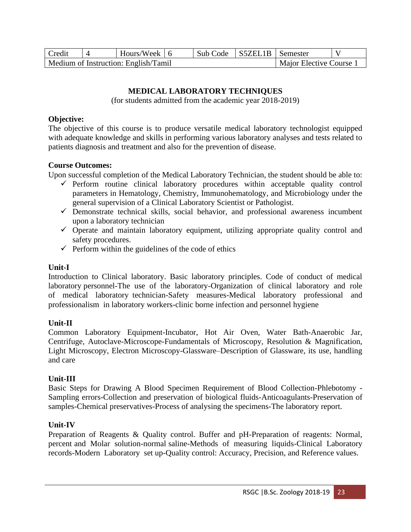| Credit | Hours/Week 16                        | Sub Code | S5ZEL1B Semester |                       |  |
|--------|--------------------------------------|----------|------------------|-----------------------|--|
|        | Medium of Instruction: English/Tamil |          |                  | Major Elective Course |  |

# **MEDICAL LABORATORY TECHNIQUES**

(for students admitted from the academic year 2018-2019)

### **Objective:**

The objective of this course is to produce versatile medical laboratory technologist equipped with adequate knowledge and skills in performing various laboratory analyses and tests related to patients diagnosis and treatment and also for the prevention of disease.

## **Course Outcomes:**

Upon successful completion of the Medical Laboratory Technician, the student should be able to:

- ✓ Perform routine clinical laboratory procedures within acceptable quality control parameters in Hematology, Chemistry, Immunohematology, and Microbiology under the general supervision of a Clinical Laboratory Scientist or Pathologist.
- $\checkmark$  Demonstrate technical skills, social behavior, and professional awareness incumbent upon a laboratory technician
- $\checkmark$  Operate and maintain laboratory equipment, utilizing appropriate quality control and safety procedures.
- $\checkmark$  Perform within the guidelines of the code of ethics

## **Unit-I**

Introduction to Clinical laboratory. Basic laboratory principles. Code of conduct of medical laboratory personnel-The use of the laboratory-Organization of clinical laboratory and role of medical laboratory technician-Safety measures-Medical laboratory professional and professionalism in laboratory workers-clinic borne infection and personnel hygiene

## **Unit-II**

Common Laboratory Equipment-Incubator, Hot Air Oven, Water Bath-Anaerobic Jar, Centrifuge, Autoclave-Microscope-Fundamentals of Microscopy, Resolution & Magnification, Light Microscopy, Electron Microscopy-Glassware–Description of Glassware, its use, handling and care

## **Unit-III**

Basic Steps for Drawing A Blood Specimen Requirement of Blood Collection-Phlebotomy - Sampling errors-Collection and preservation of biological fluids-Anticoagulants-Preservation of samples-Chemical preservatives-Process of analysing the specimens-The laboratory report.

## **Unit-IV**

Preparation of Reagents & Quality control. Buffer and pH-Preparation of reagents: Normal, percent and Molar solution-normal saline-Methods of measuring liquids-Clinical Laboratory records-Modern Laboratory set up-Quality control: Accuracy, Precision, and Reference values.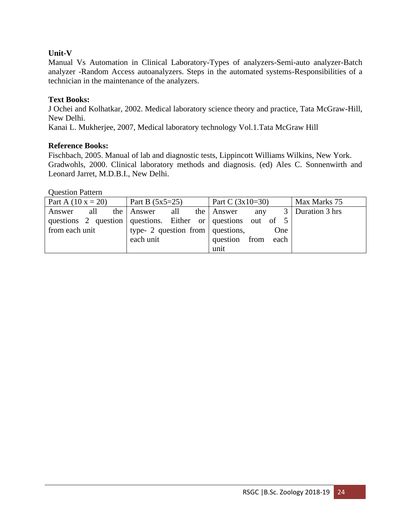# **Unit-V**

Manual Vs Automation in Clinical Laboratory-Types of analyzers-Semi-auto analyzer-Batch analyzer -Random Access autoanalyzers. Steps in the automated systems-Responsibilities of a technician in the maintenance of the analyzers.

## **Text Books:**

J Ochei and Kolhatkar, 2002. Medical laboratory science theory and practice, Tata McGraw-Hill, New Delhi.

Kanai L. Mukherjee, 2007, Medical laboratory technology Vol.1.Tata McGraw Hill

## **Reference Books:**

Fischbach, 2005. Manual of lab and diagnostic tests, Lippincott Williams Wilkins, New York. Gradwohls, 2000. Clinical laboratory methods and diagnosis. (ed) Ales C. Sonnenwirth and Leonard Jarret, M.D.B.I., New Delhi.

| Part A $(10 x = 20)$ | Part B $(5x5=25)$                                            | Part C $(3x10=30)$ | Max Marks 75       |
|----------------------|--------------------------------------------------------------|--------------------|--------------------|
| all<br>Answer        | the Answer<br>all                                            | the Answer<br>any  | 3   Duration 3 hrs |
|                      | questions 2 question questions. Either or questions out of 5 |                    |                    |
| from each unit       | type- 2 question from $\vert$ questions,                     | One                |                    |
|                      | each unit                                                    | question from each |                    |
|                      |                                                              | unit               |                    |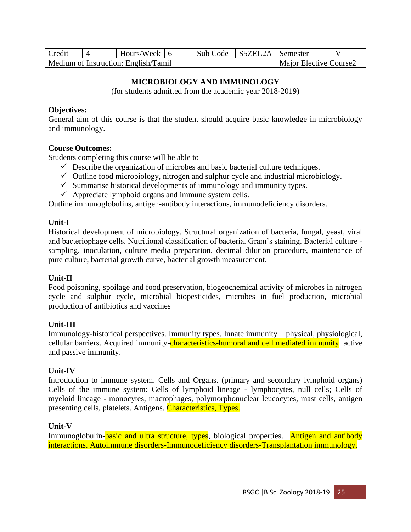| Credit | Hours/Week $\vert$ 6                 | Sub Code | S5ZEL2A Semester |                               |  |
|--------|--------------------------------------|----------|------------------|-------------------------------|--|
|        | Medium of Instruction: English/Tamil |          |                  | <b>Maior Elective Course2</b> |  |

# **MICROBIOLOGY AND IMMUNOLOGY**

(for students admitted from the academic year 2018-2019)

### **Objectives:**

General aim of this course is that the student should acquire basic knowledge in microbiology and immunology.

### **Course Outcomes:**

Students completing this course will be able to

- $\checkmark$  Describe the organization of microbes and basic bacterial culture techniques.
- $\checkmark$  Outline food microbiology, nitrogen and sulphur cycle and industrial microbiology.
- $\checkmark$  Summarise historical developments of immunology and immunity types.
- $\checkmark$  Appreciate lymphoid organs and immune system cells.

Outline immunoglobulins, antigen-antibody interactions, immunodeficiency disorders.

### **Unit-I**

Historical development of microbiology. Structural organization of bacteria, fungal, yeast, viral and bacteriophage cells. Nutritional classification of bacteria. Gram's staining. Bacterial culture sampling, inoculation, culture media preparation, decimal dilution procedure, maintenance of pure culture, bacterial growth curve, bacterial growth measurement.

## **Unit-II**

Food poisoning, spoilage and food preservation, biogeochemical activity of microbes in nitrogen cycle and sulphur cycle, microbial biopesticides, microbes in fuel production, microbial production of antibiotics and vaccines

## **Unit-III**

Immunology-historical perspectives. Immunity types. Innate immunity – physical, physiological, cellular barriers. Acquired immunity-characteristics-humoral and cell mediated immunity. active and passive immunity.

## **Unit-IV**

Introduction to immune system. Cells and Organs. (primary and secondary lymphoid organs) Cells of the immune system: Cells of lymphoid lineage - lymphocytes, null cells; Cells of myeloid lineage - monocytes, macrophages, polymorphonuclear leucocytes, mast cells, antigen presenting cells, platelets. Antigens. Characteristics, Types.

## **Unit-V**

Immunoglobulin-basic and ultra structure, types, biological properties. Antigen and antibody interactions. Autoimmune disorders-Immunodeficiency disorders-Transplantation immunology.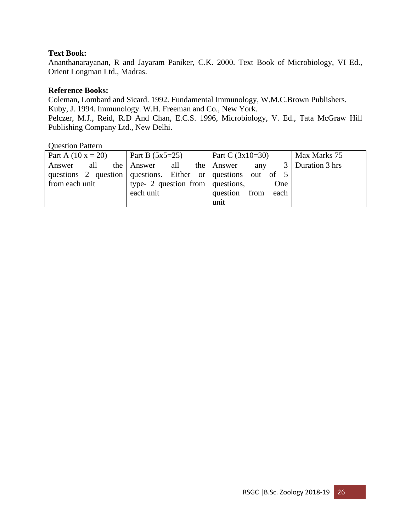# **Text Book:**

Ananthanarayanan, R and Jayaram Paniker, C.K. 2000. Text Book of Microbiology, VI Ed., Orient Longman Ltd., Madras.

### **Reference Books:**

Coleman, Lombard and Sicard. 1992. Fundamental Immunology, W.M.C.Brown Publishers. Kuby, J. 1994. Immunology. W.H. Freeman and Co., New York. Pelczer, M.J., Reid, R.D And Chan, E.C.S. 1996, Microbiology, V. Ed., Tata McGraw Hill Publishing Company Ltd., New Delhi.

| Part A $(10 x = 20)$ | Part B $(5x5=25)$                                              | Part C $(3x10=30)$ | Max Marks 75       |
|----------------------|----------------------------------------------------------------|--------------------|--------------------|
| Answer               | all the Answer all the Answer                                  | any                | 3   Duration 3 hrs |
|                      | questions 2 question questions. Either or questions out of $5$ |                    |                    |
| from each unit       | type- 2 question from questions,                               | One                |                    |
|                      | each unit                                                      | question from each |                    |
|                      |                                                                | unit               |                    |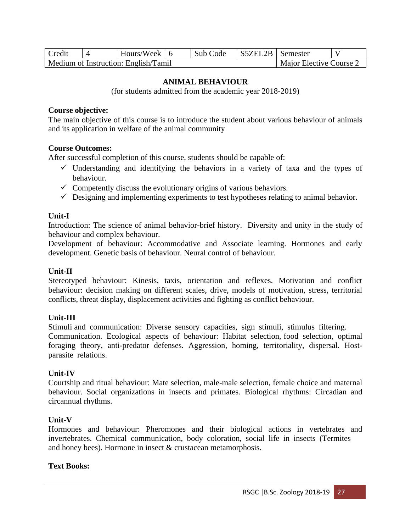| <b>Credit</b> | Hours/Week $\vert$ 6                 | Sub Code | S5ZEL2B Semester |                         |  |
|---------------|--------------------------------------|----------|------------------|-------------------------|--|
|               | Medium of Instruction: English/Tamil |          |                  | Major Elective Course 2 |  |

### **ANIMAL BEHAVIOUR**

(for students admitted from the academic year 2018-2019)

#### **Course objective:**

The main objective of this course is to introduce the student about various behaviour of animals and its application in welfare of the animal community

#### **Course Outcomes:**

After successful completion of this course, students should be capable of:

- $\checkmark$  Understanding and identifying the behaviors in a variety of taxa and the types of behaviour.
- $\checkmark$  Competently discuss the evolutionary origins of various behaviors.
- $\checkmark$  Designing and implementing experiments to test hypotheses relating to animal behavior.

#### **Unit-I**

Introduction: The science of animal behavior-brief history. Diversity and unity in the study of behaviour and complex behaviour.

Development of behaviour: Accommodative and Associate learning. Hormones and early development. Genetic basis of behaviour. Neural control of behaviour.

#### **Unit-II**

Stereotyped behaviour: Kinesis, taxis, orientation and reflexes. Motivation and conflict behaviour: decision making on different scales, drive, models of motivation, stress, territorial conflicts, threat display, displacement activities and fighting as conflict behaviour.

#### **Unit-III**

Stimuli and communication: Diverse sensory capacities, sign stimuli, stimulus filtering. Communication. Ecological aspects of behaviour: Habitat selection, food selection, optimal foraging theory, anti-predator defenses. Aggression, homing, territoriality, dispersal. Hostparasite relations.

#### **Unit-IV**

Courtship and ritual behaviour: Mate selection, male-male selection, female choice and maternal behaviour. Social organizations in insects and primates. Biological rhythms: Circadian and circannual rhythms.

#### **Unit-V**

Hormones and behaviour: Pheromones and their biological actions in vertebrates and invertebrates. Chemical communication, body coloration, social life in insects (Termites and honey bees). Hormone in insect & crustacean metamorphosis.

#### **Text Books:**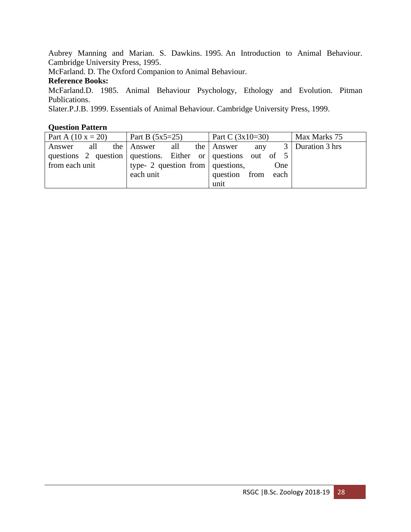Aubrey Manning and Marian. S. Dawkins. 1995. An Introduction to Animal Behaviour. Cambridge University Press, 1995.

McFarland. D. The Oxford Companion to Animal Behaviour.

## **Reference Books:**

McFarland.D. 1985. Animal Behaviour Psychology, Ethology and Evolution. Pitman Publications.

Slater.P.J.B. 1999. Essentials of Animal Behaviour. Cambridge University Press, 1999.

| Part A $(10 x = 20)$ | Part B $(5x5=25)$                                            | Part C $(3x10=30)$ | Max Marks 75       |
|----------------------|--------------------------------------------------------------|--------------------|--------------------|
| all<br>Answer        | the Answer<br>all                                            | the Answer<br>any  | 3   Duration 3 hrs |
|                      | questions 2 question questions. Either or questions out of 5 |                    |                    |
| from each unit       | type- 2 question from $\vert$ questions,                     | One                |                    |
|                      | each unit                                                    | question from each |                    |
|                      |                                                              | unit               |                    |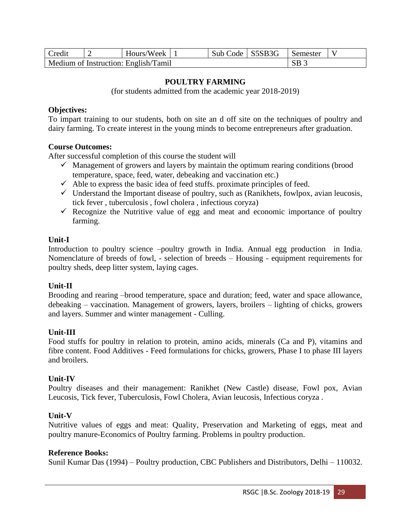| Credit                               |  | Hours/Week   1 |  | Sub Code S5SB3G | ∣ Semester      |  |
|--------------------------------------|--|----------------|--|-----------------|-----------------|--|
| Medium of Instruction: English/Tamil |  |                |  |                 | SB <sub>3</sub> |  |

### **POULTRY FARMING**

(for students admitted from the academic year 2018-2019)

#### **Objectives:**

To impart training to our students, both on site an d off site on the techniques of poultry and dairy farming. To create interest in the young minds to become entrepreneurs after graduation.

#### **Course Outcomes:**

After successful completion of this course the student will

- $\checkmark$  Management of growers and layers by maintain the optimum rearing conditions (brood temperature, space, feed, water, debeaking and vaccination etc.)
- $\checkmark$  Able to express the basic idea of feed stuffs. proximate principles of feed.
- $\checkmark$  Understand the Important disease of poultry, such as (Ranikhets, fowlpox, avian leucosis, tick fever , tuberculosis , fowl cholera , infectious coryza)
- $\checkmark$  Recognize the Nutritive value of egg and meat and economic importance of poultry farming.

#### **Unit-I**

Introduction to poultry science –poultry growth in India. Annual egg production in India. Nomenclature of breeds of fowl, - selection of breeds – Housing - equipment requirements for poultry sheds, deep litter system, laying cages.

#### **Unit-II**

Brooding and rearing –brood temperature, space and duration; feed, water and space allowance, debeaking – vaccination. Management of growers, layers, broilers – lighting of chicks, growers and layers. Summer and winter management - Culling.

#### **Unit-III**

Food stuffs for poultry in relation to protein, amino acids, minerals (Ca and P), vitamins and fibre content. Food Additives - Feed formulations for chicks, growers, Phase I to phase III layers and broilers.

#### **Unit-IV**

Poultry diseases and their management: Ranikhet (New Castle) disease, Fowl pox, Avian Leucosis, Tick fever, Tuberculosis, Fowl Cholera, Avian leucosis, Infectious coryza .

#### **Unit-V**

Nutritive values of eggs and meat: Quality, Preservation and Marketing of eggs, meat and poultry manure-Economics of Poultry farming. Problems in poultry production.

#### **Reference Books:**

Sunil Kumar Das (1994) – Poultry production, CBC Publishers and Distributors, Delhi – 110032.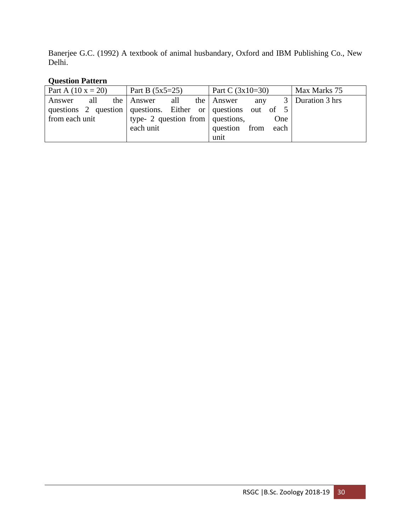Banerjee G.C. (1992) A textbook of animal husbandary, Oxford and IBM Publishing Co., New Delhi.

| Part A $(10 x = 20)$ | Part B $(5x5=25)$                                            | Part C $(3x10=30)$ | Max Marks 75       |
|----------------------|--------------------------------------------------------------|--------------------|--------------------|
| all<br>Answer        | the Answer<br>all                                            | the Answer<br>any  | 3   Duration 3 hrs |
|                      | questions 2 question questions. Either or questions out of 5 |                    |                    |
| from each unit       | type- 2 question from $\vert$ questions,                     | One                |                    |
|                      | each unit                                                    | question from each |                    |
|                      |                                                              | unit               |                    |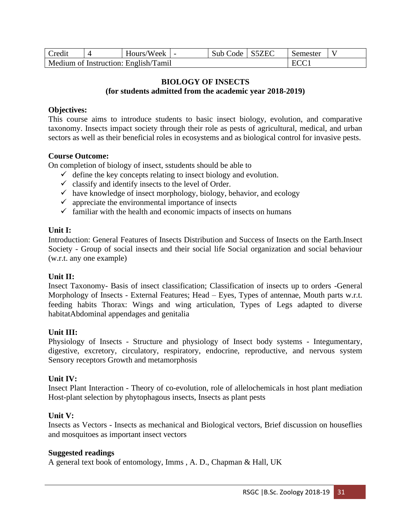| Credit                               |  | Hours/Week |  | Sub Code S5ZEC | Semester |  |
|--------------------------------------|--|------------|--|----------------|----------|--|
| Medium of Instruction: English/Tamil |  |            |  |                | FCC      |  |

## **BIOLOGY OF INSECTS (for students admitted from the academic year 2018-2019)**

## **Objectives:**

This course aims to introduce students to basic insect biology, evolution, and comparative taxonomy. Insects impact society through their role as pests of agricultural, medical, and urban sectors as well as their beneficial roles in ecosystems and as biological control for invasive pests.

### **Course Outcome:**

On completion of biology of insect, sstudents should be able to

- $\checkmark$  define the key concepts relating to insect biology and evolution.
- $\checkmark$  classify and identify insects to the level of Order.
- $\checkmark$  have knowledge of insect morphology, biology, behavior, and ecology
- $\checkmark$  appreciate the environmental importance of insects
- $\checkmark$  familiar with the health and economic impacts of insects on humans

### **Unit I:**

Introduction: General Features of Insects Distribution and Success of Insects on the Earth.Insect Society - Group of social insects and their social life Social organization and social behaviour (w.r.t. any one example)

## **Unit II:**

Insect Taxonomy- Basis of insect classification; Classification of insects up to orders -General Morphology of Insects - External Features; Head – Eyes, Types of antennae, Mouth parts w.r.t. feeding habits Thorax: Wings and wing articulation, Types of Legs adapted to diverse habitatAbdominal appendages and genitalia

## **Unit III:**

Physiology of Insects - Structure and physiology of Insect body systems - Integumentary, digestive, excretory, circulatory, respiratory, endocrine, reproductive, and nervous system Sensory receptors Growth and metamorphosis

#### **Unit IV:**

Insect Plant Interaction - Theory of co-evolution, role of allelochemicals in host plant mediation Host-plant selection by phytophagous insects, Insects as plant pests

## **Unit V:**

Insects as Vectors - Insects as mechanical and Biological vectors, Brief discussion on houseflies and mosquitoes as important insect vectors

#### **Suggested readings**

A general text book of entomology, Imms , A. D., Chapman & Hall, UK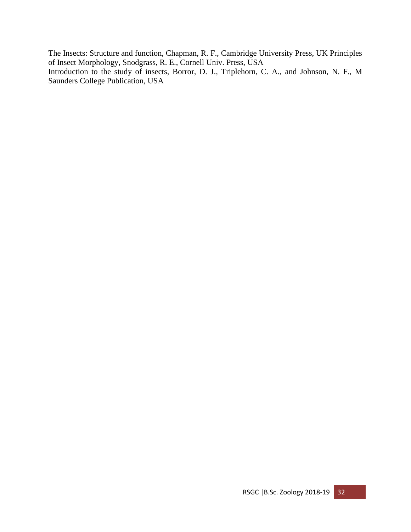The Insects: Structure and function, Chapman, R. F., Cambridge University Press, UK Principles of Insect Morphology, Snodgrass, R. E., Cornell Univ. Press, USA Introduction to the study of insects, Borror, D. J., Triplehorn, C. A., and Johnson, N. F., M Saunders College Publication, USA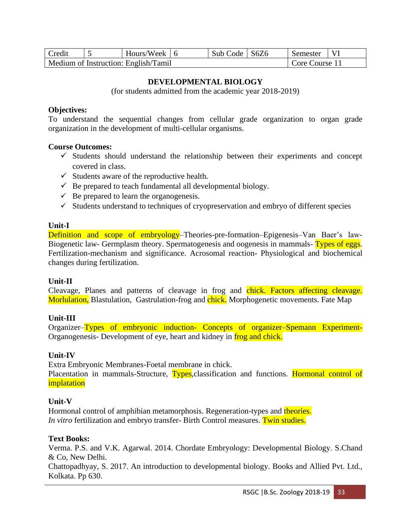| Credit | Hours/Week $\vert$ 6                 | Sub Code   S6Z6 | Semester       |  |
|--------|--------------------------------------|-----------------|----------------|--|
|        | Medium of Instruction: English/Tamil |                 | Core Course 11 |  |

### **DEVELOPMENTAL BIOLOGY**

(for students admitted from the academic year 2018-2019)

#### **Objectives:**

To understand the sequential changes from cellular grade organization to organ grade organization in the development of multi-cellular organisms.

#### **Course Outcomes:**

- $\checkmark$  Students should understand the relationship between their experiments and concept covered in class.
- $\checkmark$  Students aware of the reproductive health.
- $\checkmark$  Be prepared to teach fundamental all developmental biology.
- $\checkmark$  Be prepared to learn the organogenesis.
- ✓ Students understand to techniques of cryopreservation and embryo of different species

#### **Unit-I**

Definition and scope of embryology–Theories-pre-formation–Epigenesis–Van Baer's law-Biogenetic law- Germplasm theory. Spermatogenesis and oogenesis in mammals- Types of eggs. Fertilization-mechanism and significance. Acrosomal reaction- Physiological and biochemical changes during fertilization.

#### **Unit-II**

Cleavage, Planes and patterns of cleavage in frog and chick. Factors affecting cleavage. Morlulation, Blastulation, Gastrulation-frog and chick. Morphogenetic movements. Fate Map

#### **Unit-III**

Organizer–Types of embryonic induction- Concepts of organizer–Spemann Experiment-Organogenesis- Development of eye, heart and kidney in frog and chick.

#### **Unit-IV**

Extra Embryonic Membranes-Foetal membrane in chick. Placentation in mammals-Structure, Types, classification and functions. Hormonal control of implatation

#### **Unit-V**

Hormonal control of amphibian metamorphosis. Regeneration-types and theories. *In vitro* fertilization and embryo transfer- Birth Control measures. Twin studies.

#### **Text Books:**

Verma. P.S. and V.K. Agarwal. 2014. Chordate Embryology: Developmental Biology. S.Chand & Co, New Delhi.

Chattopadhyay, S. 2017. An introduction to developmental biology. Books and Allied Pvt. Ltd., Kolkata. Pp 630.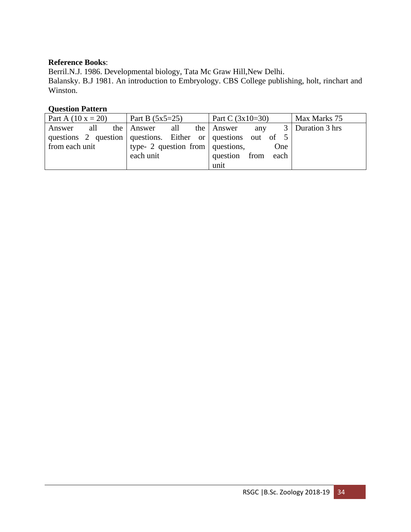## **Reference Books**:

Berril.N.J. 1986. Developmental biology, Tata Mc Graw Hill, New Delhi. Balansky. B.J 1981. An introduction to Embryology. CBS College publishing, holt, rinchart and Winston.

| Part A $(10 x = 20)$ | Part B $(5x5=25)$                                            | Part C $(3x10=30)$ | Max Marks 75       |
|----------------------|--------------------------------------------------------------|--------------------|--------------------|
| all<br>Answer        | the Answer<br>all                                            | the Answer<br>any  | 3   Duration 3 hrs |
|                      | questions 2 question questions. Either or questions out of 5 |                    |                    |
| from each unit       | type- 2 question from $\vert$ questions,                     | One                |                    |
|                      | each unit                                                    | question from each |                    |
|                      |                                                              | unit               |                    |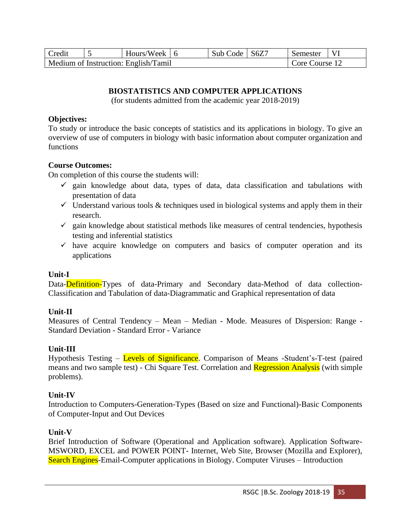| Credit | Hours/Week $\mid$ 6                  | Sub Code | S6Z7 | Semester       |  |
|--------|--------------------------------------|----------|------|----------------|--|
|        | Medium of Instruction: English/Tamil |          |      | Core Course 12 |  |

# **BIOSTATISTICS AND COMPUTER APPLICATIONS**

(for students admitted from the academic year 2018-2019)

### **Objectives:**

To study or introduce the basic concepts of statistics and its applications in biology. To give an overview of use of computers in biology with basic information about computer organization and functions

## **Course Outcomes:**

On completion of this course the students will:

- $\checkmark$  gain knowledge about data, types of data, data classification and tabulations with presentation of data
- $\checkmark$  Understand various tools & techniques used in biological systems and apply them in their research.
- $\checkmark$  gain knowledge about statistical methods like measures of central tendencies, hypothesis testing and inferential statistics
- $\checkmark$  have acquire knowledge on computers and basics of computer operation and its applications

## **Unit-I**

Data-Definition-Types of data-Primary and Secondary data-Method of data collection-Classification and Tabulation of data-Diagrammatic and Graphical representation of data

## **Unit-II**

Measures of Central Tendency – Mean – Median - Mode. Measures of Dispersion: Range - Standard Deviation - Standard Error - Variance

## **Unit-III**

Hypothesis Testing – Levels of Significance. Comparison of Means -Student's-T-test (paired means and two sample test) - Chi Square Test. Correlation and **Regression Analysis** (with simple problems).

## **Unit-IV**

Introduction to Computers-Generation-Types (Based on size and Functional)-Basic Components of Computer-Input and Out Devices

## **Unit-V**

Brief Introduction of Software (Operational and Application software). Application Software-MSWORD, EXCEL and POWER POINT- Internet, Web Site, Browser (Mozilla and Explorer), Search Engines-Email-Computer applications in Biology. Computer Viruses – Introduction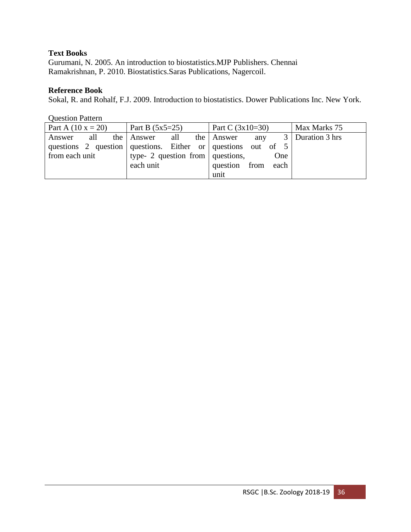# **Text Books**

Gurumani, N. 2005. An introduction to biostatistics.MJP Publishers. Chennai Ramakrishnan, P. 2010. Biostatistics.Saras Publications, Nagercoil.

## **Reference Book**

Sokal, R. and Rohalf, F.J. 2009. Introduction to biostatistics. Dower Publications Inc. New York.

| <b>Question Pattern</b> |                                                                |                        |                |
|-------------------------|----------------------------------------------------------------|------------------------|----------------|
| Part A $(10 x = 20)$    | Part B $(5x5=25)$                                              | Part C $(3x10=30)$     | Max Marks 75   |
| all<br>Answer           | the Answer<br>all                                              | 3<br>the Answer<br>any | Duration 3 hrs |
|                         | questions 2 question questions. Either or questions out of $5$ |                        |                |
| from each unit          | type- 2 question from $\vert$ questions,                       |                        |                |
|                         | each unit                                                      | question from<br>each  |                |
|                         |                                                                | unit                   |                |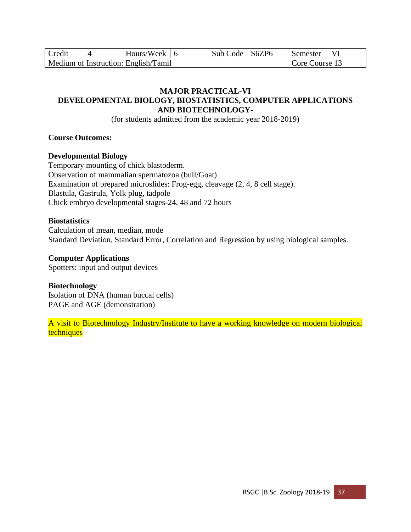| Credit | Hours/Week $\vert$ 6                 | Sub Code   S6ZP6 | Semester       |  |
|--------|--------------------------------------|------------------|----------------|--|
|        | Medium of Instruction: English/Tamil |                  | Core Course 13 |  |

## **MAJOR PRACTICAL-VI DEVELOPMENTAL BIOLOGY, BIOSTATISTICS, COMPUTER APPLICATIONS AND BIOTECHNOLOGY-**

(for students admitted from the academic year 2018-2019)

## **Course Outcomes:**

# **Developmental Biology**

Temporary mounting of chick blastoderm. Observation of mammalian spermatozoa (bull/Goat) Examination of prepared microslides: Frog-egg, cleavage (2, 4, 8 cell stage). Blastula, Gastrula, Yolk plug, tadpole Chick embryo developmental stages-24, 48 and 72 hours

# **Biostatistics**

Calculation of mean, median, mode Standard Deviation, Standard Error, Correlation and Regression by using biological samples.

## **Computer Applications**

Spotters: input and output devices

# **Biotechnology**

Isolation of DNA (human buccal cells) PAGE and AGE (demonstration)

A visit to Biotechnology Industry/Institute to have a working knowledge on modern biological **techniques**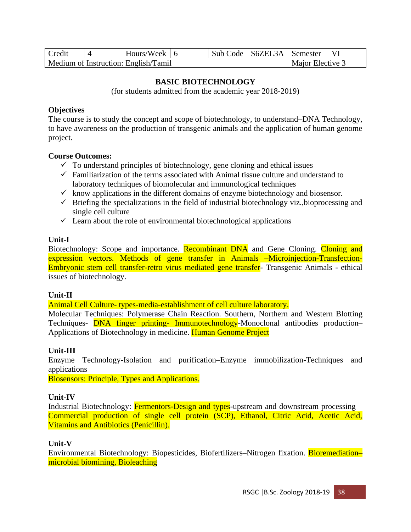| Credit                                                   |  | Hours/Week $\vert$ 6 |  |  | Sub Code   S6ZEL3A   Semester |  |  |
|----------------------------------------------------------|--|----------------------|--|--|-------------------------------|--|--|
| Medium of Instruction: English/Tamil<br>Maior Elective 3 |  |                      |  |  |                               |  |  |

### **BASIC BIOTECHNOLOGY**

(for students admitted from the academic year 2018-2019)

#### **Objectives**

The course is to study the concept and scope of biotechnology, to understand–DNA Technology, to have awareness on the production of transgenic animals and the application of human genome project.

#### **Course Outcomes:**

- $\checkmark$  To understand principles of biotechnology, gene cloning and ethical issues
- $\checkmark$  Familiarization of the terms associated with Animal tissue culture and understand to laboratory techniques of biomolecular and immunological techniques
- $\checkmark$  know applications in the different domains of enzyme biotechnology and biosensor.
- $\checkmark$  Briefing the specializations in the field of industrial biotechnology viz.,bioprocessing and single cell culture
- $\checkmark$  Learn about the role of environmental biotechnological applications

### **Unit-I**

Biotechnology: Scope and importance. Recombinant DNA and Gene Cloning. Cloning and expression vectors. Methods of gene transfer in Animals –Microinjection-Transfection-Embryonic stem cell transfer-retro virus mediated gene transfer- Transgenic Animals - ethical issues of biotechnology.

## **Unit-II**

Animal Cell Culture- types-media-establishment of cell culture laboratory.

Molecular Techniques: Polymerase Chain Reaction. Southern, Northern and Western Blotting Techniques- **DNA** finger printing- Immunotechnology-Monoclonal antibodies production– Applications of Biotechnology in medicine. Human Genome Project

## **Unit-III**

Enzyme Technology-Isolation and purification–Enzyme immobilization-Techniques and applications

Biosensors: Principle, Types and Applications.

## **Unit-IV**

Industrial Biotechnology: Fermentors-Design and types-upstream and downstream processing – Commercial production of single cell protein (SCP), Ethanol, Citric Acid, Acetic Acid, Vitamins and Antibiotics (Penicillin).

## **Unit-V**

Environmental Biotechnology: Biopesticides, Biofertilizers–Nitrogen fixation. Bioremediation– microbial biomining, Bioleaching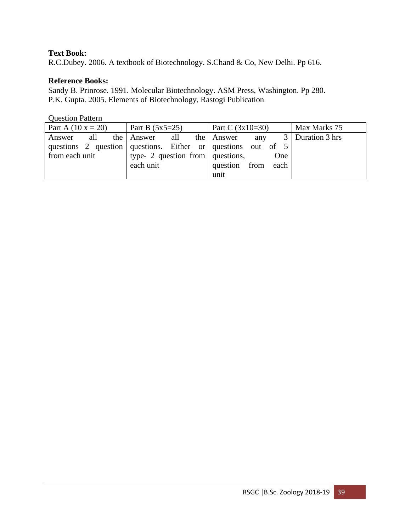# **Text Book:**

R.C.Dubey. 2006. A textbook of Biotechnology. S.Chand & Co, New Delhi. Pp 616.

# **Reference Books:**

Sandy B. Prinrose. 1991. Molecular Biotechnology. ASM Press, Washington. Pp 280. P.K. Gupta. 2005. Elements of Biotechnology, Rastogi Publication

| Part A $(10 x = 20)$ | Part B $(5x5=25)$                                              | Part C $(3x10=30)$ | Max Marks 75       |  |
|----------------------|----------------------------------------------------------------|--------------------|--------------------|--|
| all<br>Answer        | the Answer<br>all                                              | the Answer<br>any  | 3   Duration 3 hrs |  |
|                      | questions 2 question questions. Either or questions out of $5$ |                    |                    |  |
| from each unit       | type- 2 question from $\vert$ questions,                       | One                |                    |  |
|                      | each unit                                                      | question from each |                    |  |
|                      |                                                                | unit               |                    |  |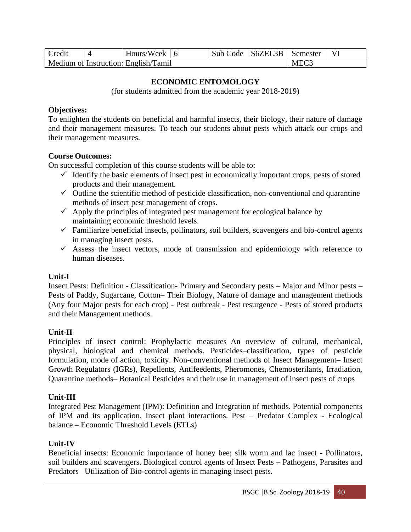| Credit                               |  | Hours/Week 6 |  |  | Sub Code   S6ZEL3B   Semester |                  |  |
|--------------------------------------|--|--------------|--|--|-------------------------------|------------------|--|
| Medium of Instruction: English/Tamil |  |              |  |  |                               | MEC <sub>3</sub> |  |

## **ECONOMIC ENTOMOLOGY**

(for students admitted from the academic year 2018-2019)

### **Objectives:**

To enlighten the students on beneficial and harmful insects, their biology, their nature of damage and their management measures. To teach our students about pests which attack our crops and their management measures.

### **Course Outcomes:**

On successful completion of this course students will be able to:

- $\checkmark$  Identify the basic elements of insect pest in economically important crops, pests of stored products and their management.
- $\checkmark$  Outline the scientific method of pesticide classification, non-conventional and quarantine methods of insect pest management of crops.
- $\checkmark$  Apply the principles of integrated pest management for ecological balance by maintaining economic threshold levels.
- $\checkmark$  Familiarize beneficial insects, pollinators, soil builders, scavengers and bio-control agents in managing insect pests.
- ✓ Assess the insect vectors, mode of transmission and epidemiology with reference to human diseases.

## **Unit-I**

Insect Pests: Definition - Classification- Primary and Secondary pests – Major and Minor pests – Pests of Paddy, Sugarcane, Cotton– Their Biology, Nature of damage and management methods (Any four Major pests for each crop) - Pest outbreak - Pest resurgence - Pests of stored products and their Management methods.

## **Unit-II**

Principles of insect control: Prophylactic measures–An overview of cultural, mechanical, physical, biological and chemical methods. Pesticides–classification, types of pesticide formulation, mode of action, toxicity. Non-conventional methods of Insect Management– Insect Growth Regulators (IGRs), Repellents, Antifeedents, Pheromones, Chemosterilants, Irradiation, Quarantine methods– Botanical Pesticides and their use in management of insect pests of crops

## **Unit-III**

Integrated Pest Management (IPM): Definition and Integration of methods. Potential components of IPM and its application. Insect plant interactions. Pest – Predator Complex - Ecological balance – Economic Threshold Levels (ETLs)

## **Unit-IV**

Beneficial insects: Economic importance of honey bee; silk worm and lac insect - Pollinators, soil builders and scavengers. Biological control agents of Insect Pests – Pathogens, Parasites and Predators –Utilization of Bio-control agents in managing insect pests.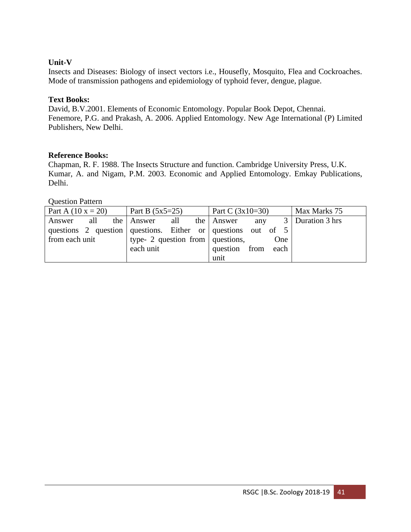# **Unit-V**

Insects and Diseases: Biology of insect vectors i.e., Housefly, Mosquito, Flea and Cockroaches. Mode of transmission pathogens and epidemiology of typhoid fever, dengue, plague.

## **Text Books:**

David, B.V.2001. Elements of Economic Entomology. Popular Book Depot, Chennai. Fenemore, P.G. and Prakash, A. 2006. Applied Entomology. New Age International (P) Limited Publishers, New Delhi.

### **Reference Books:**

Chapman, R. F. 1988. The Insects Structure and function. Cambridge University Press, U.K. Kumar, A. and Nigam, P.M. 2003. Economic and Applied Entomology. Emkay Publications, Delhi.

| Part A $(10 x = 20)$                                         | Part B $(5x5=25)$                        | Part C $(3x10=30)$ |     |                    | Max Marks 75 |  |  |                    |
|--------------------------------------------------------------|------------------------------------------|--------------------|-----|--------------------|--------------|--|--|--------------------|
| all<br>Answer                                                |                                          | the Answer<br>all  |     | the Answer         | any          |  |  | 3   Duration 3 hrs |
| questions 2 question questions. Either or questions out of 5 |                                          |                    |     |                    |              |  |  |                    |
| from each unit                                               | type- 2 question from $\vert$ questions, |                    | One |                    |              |  |  |                    |
|                                                              |                                          | each unit          |     | question from each |              |  |  |                    |
|                                                              |                                          |                    |     | unit               |              |  |  |                    |